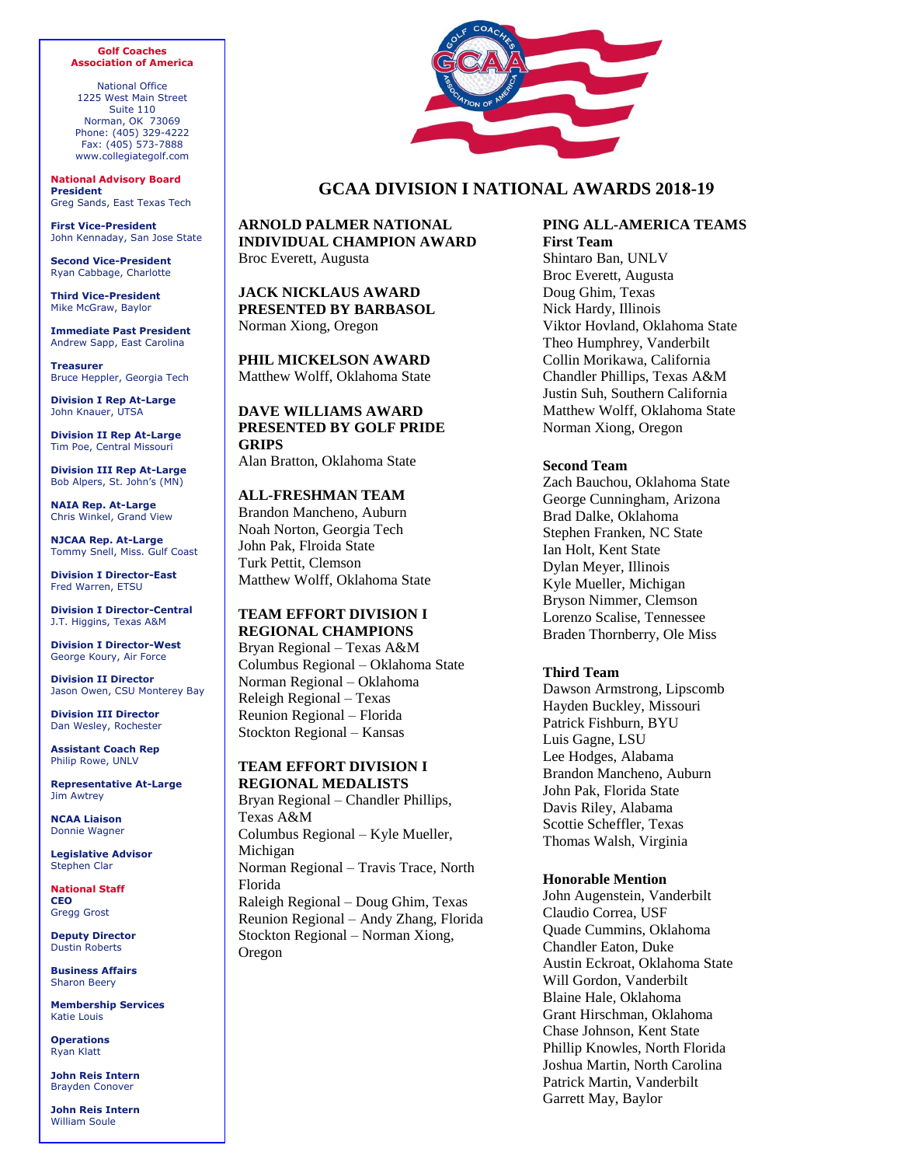#### **Golf Coaches Association of America**

National Office 1225 West Main Street Suite 110 Norman, OK 73069 Phone: (405) 329-4222 Fax: (405) 573-7888 www.collegiategolf.com

**National Advisory Board President** Greg Sands, East Texas Tech

**First Vice-President** John Kennaday, San Jose State

**Second Vice-President** Ryan Cabbage, Charlotte

**Third Vice-President** Mike McGraw, Baylor

**Immediate Past President** Andrew Sapp, East Carolina

**Treasurer** Bruce Heppler, Georgia Tech

**Division I Rep At-Large** John Knauer, UTSA

**Division II Rep At-Large** Tim Poe, Central Missouri

**Division III Rep At-Large** Bob Alpers, St. John's (MN)

**NAIA Rep. At-Large** Chris Winkel, Grand View

**NJCAA Rep. At-Large** Tommy Snell, Miss. Gulf Coast

**Division I Director-East** Fred Warren, ETSU

**Division I Director-Central** J.T. Higgins, Texas A&M

**Division I Director-West** George Koury, Air Force

**Division II Director** Jason Owen, CSU Monterey Bay

**Division III Director** Dan Wesley, Rochester

**Assistant Coach Rep** Philip Rowe, UNLV

**Representative At-Large** Jim Awtrey

**NCAA Liaison** Donnie Wagner

**Legislative Advisor** Stephen Clar

**National Staff CEO** Gregg Grost

**Deputy Director** Dustin Roberts

**Business Affairs** Sharon Beery

**Membership Services** Katie Louis

**Operations** Ryan Klatt

**John Reis Intern** Brayden Conover

**John Reis Intern** William Soule



## **GCAA DIVISION I NATIONAL AWARDS 2018-19**

**ARNOLD PALMER NATIONAL INDIVIDUAL CHAMPION AWARD 0DWWKHROII, NODKRPDWDWH** 

**JACK NICKLAUS AWARD PRESENTED BY BARBASOL**  Matthew Wolff, Oklahoma State

**PHIL MICKELSON AWARD** Cole Hammer, Texas

**DAVE WILLIAMS AWARD PRESENTED BY GOLF PRIDE GRIPS**  Conrad Ray, Stanford

**ALL-FRESHMAN TEAM** 

Albin Bergstrom, USF Eugenio Chacarra, Wake Forest Pierceson Coody, Texas Trent Phillips, Georgia Cole Hammer, Texas

**TEAM EFFORT DIVISION I REGIONAL CHAMPIONS \$WKHQSIJLRQOHRUJLD \$XVWLQ5HJLRQDO±7H[DV /RXLVYLOOH5HJLRQDO±2NODKRPD6WDWH 3MOPDELLRQOZHDV\$ 6WDQIRUG5HJLRQDO±6WDQIRUG 0\UWOH%HDFK5HJLRQDO±,OOLQRLV**

# **TEAM EFFORT DIVISION I REGIONAL MEDALISTS**

Athens Regional – Davis Thompson, Georgia Austin Regional – Steven Chervony, Texas, Cole Hammer, Texas and Stefano Mazzoli, TCU

Louisville Regional – Tripp Kinney, Iowa State Pullman Regional – Rhett Rasmussen, BYU Stanford Regional – Isaiah Salinda, Stanford

Myrtle Beach Regional – Michael Feagles, Illinois

#### **PING ALL-AMERICA TEAMS First Team**

Steven Fisk, Georgia Southern Will Gordon, Vanderbilt Cole Hammer, Texas Bryson Nimmer, Clemson Viktor Hovland, Oklahoma State John Pak, Florida State Collin Morikawa, California Chun An Yu, Arizona State Justin Suh, Southern California Matthew Wolff, Oklahoma State

### **Second Team**

Peter Kuest, BYU Andy Ogletree, Georgia Tech Chandler Phillips, Texas A&M Trent Phillips, Georgia Isaiah Salinda, Stanford Matthias Schmid, Louisville Sandy Scott, Texas Tech Alex Smalley, Duke Brandon Wu, Stanford Cameron Young, Wake Forest

#### **Third Team**

John Augenstein, Vanderbilt Chandler Eaton, Duke Austin Eckroat, Oklahoma State Blake Elliot, McNeese State Philip Knowles, North Florida Patrick Martin, Vanderbilt Stefano Mazzoli, TCU Mac Meissner, SMU Luke Schniederjans, Georgia Tech Scott Stevens, South Carolina

#### **Honorable Mention**

Eric Bae, Wake Forest Alex Fitzpatrick, Wake Forest Lee Detmer, Wake Forest Quade Cummins, Oklahoma Garret Reband Oklahoma Patrick Welch, Oklahoma Spencer Ralston, Georgia Davis Thompson, Georgia Ervin Chang, Liberty Gabe Lench, Liberty Steven Chervony, Texas Parker Coody, Texas Pierceson Coody, Texas Sebastian Crampton, California KK Limbhaust, California